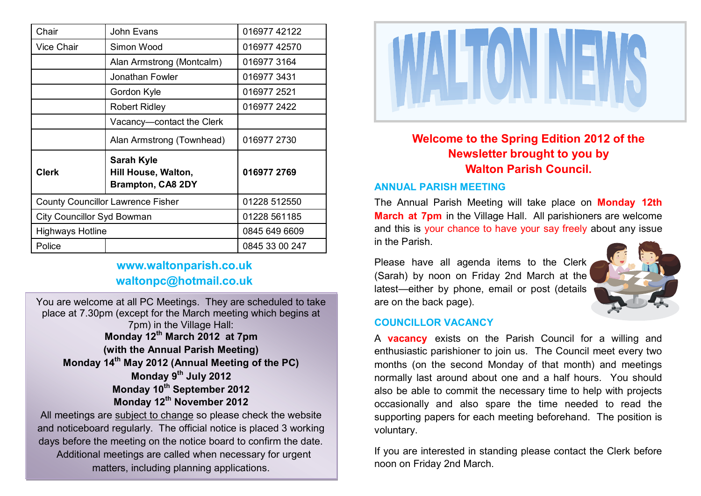| Chair                                    | John Evans                                                           | 016977 42122   |
|------------------------------------------|----------------------------------------------------------------------|----------------|
| <b>Vice Chair</b>                        | Simon Wood                                                           | 016977 42570   |
|                                          | Alan Armstrong (Montcalm)                                            | 016977 3164    |
|                                          | Jonathan Fowler                                                      | 0169773431     |
|                                          | Gordon Kyle                                                          | 016977 2521    |
|                                          | <b>Robert Ridley</b>                                                 | 016977 2422    |
|                                          | Vacancy-contact the Clerk                                            |                |
|                                          | Alan Armstrong (Townhead)                                            | 016977 2730    |
| <b>Clerk</b>                             | <b>Sarah Kyle</b><br>Hill House, Walton,<br><b>Brampton, CA8 2DY</b> | 016977 2769    |
| <b>County Councillor Lawrence Fisher</b> |                                                                      | 01228 512550   |
| <b>City Councillor Syd Bowman</b>        |                                                                      | 01228 561185   |
| <b>Highways Hotline</b>                  |                                                                      | 0845 649 6609  |
| Police                                   |                                                                      | 0845 33 00 247 |

## **www.waltonparish.co.uk waltonpc@hotmail.co.uk**

You are welcome at all PC Meetings. They are scheduled to take place at 7.30pm (except for the March meeting which begins at 7pm) in the Village Hall: **Monday 12th March 2012 at 7pm (with the Annual Parish Meeting) Monday 14th May 2012 (Annual Meeting of the PC) Monday 9th July 2012 Monday 10th September 2012 Monday 12th November 2012** All meetings are subject to change so please check the website

and noticeboard regularly. The official notice is placed 3 working days before the meeting on the notice board to confirm the date. Additional meetings are called when necessary for urgent matters, including planning applications.



**Welcome to the Spring Edition 2012 of the Newsletter brought to you by Walton Parish Council.**

### **ANNUAL PARISH MEETING**

The Annual Parish Meeting will take place on **Monday 12th March at 7pm** in the Village Hall. All parishioners are welcome and this is your chance to have your say freely about any issue in the Parish.

Please have all agenda items to the Clerk (Sarah) by noon on Friday 2nd March at the latest—either by phone, email or post (details are on the back page).



## **COUNCILLOR VACANCY**

A **vacancy** exists on the Parish Council for a willing and enthusiastic parishioner to join us. The Council meet every two months (on the second Monday of that month) and meetings normally last around about one and a half hours. You should also be able to commit the necessary time to help with projects occasionally and also spare the time needed to read the supporting papers for each meeting beforehand. The position is voluntary.

If you are interested in standing please contact the Clerk before noon on Friday 2nd March.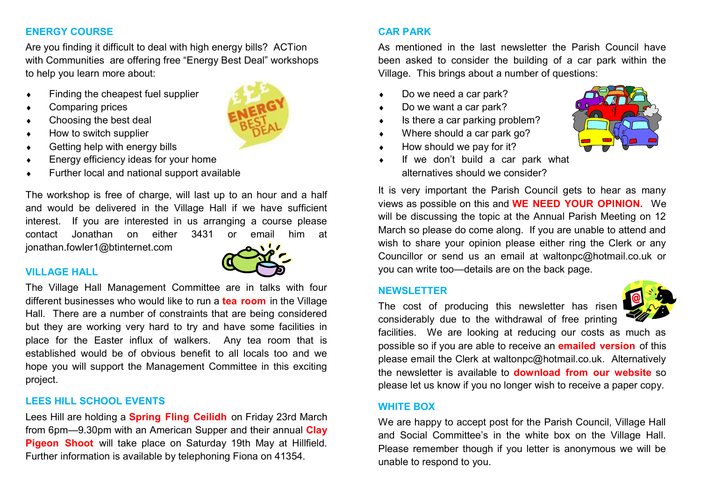## **ENERGY COURSE**

Are you finding it difficult to deal with high energy bills? ACTion with Communities are offering free "Energy Best Deal" workshops to help you learn more about:

- Finding the cheapest fuel supplier
- Comparing prices
- Choosing the best deal
- How to switch supplier
- Getting help with energy bills
- Energy efficiency ideas for your home
- Further local and national support available

The workshop is free of charge, will last up to an hour and a half and would be delivered in the Village Hall if we have sufficient interest. If you are interested in us arranging a course please contact Jonathan on either 3431 or email him at jonathan.fowler1@btinternet.com

## **VILLAGE HALL**

The Village Hall Management Committee are in talks with four different businesses who would like to run a **tea room** in the Village Hall. There are a number of constraints that are being considered but they are working very hard to try and have some facilities in place for the Easter influx of walkers. Any tea room that is established would be of obvious benefit to all locals too and we hope you will support the Management Committee in this exciting project.

## **LEES HILL SCHOOL EVENTS**

Lees Hill are holding a **Spring Fling Ceilidh** on Friday 23rd March from 6pm—9.30pm with an American Supper and their annual **Clay Pigeon Shoot** will take place on Saturday 19th May at Hillfield. Further information is available by telephoning Fiona on 41354.

## **CAR PARK**

As mentioned in the last newsletter the Parish Council have been asked to consider the building of a car park within the Village. This brings about a number of questions:

- Do we need a car park?
- ◆ Do we want a car park?
- $\bullet$  Is there a car parking problem?
- ◆ Where should a car park go?
- $\leftrightarrow$  How should we pay for it?
- If we don't build a car park what alternatives should we consider?



It is very important the Parish Council gets to hear as many views as possible on this and **WE NEED YOUR OPINION.** We will be discussing the topic at the Annual Parish Meeting on 12 March so please do come along. If you are unable to attend and wish to share your opinion please either ring the Clerk or any Councillor or send us an email at waltonpc@hotmail.co.uk or you can write too—details are on the back page.

## **NEWSLETTER**

The cost of producing this newsletter has risen considerably due to the withdrawal of free printing



facilities. We are looking at reducing our costs as much as possible so if you are able to receive an **emailed version** of this please email the Clerk at waltonpc@hotmail.co.uk. Alternatively the newsletter is available to **download from our website** so please let us know if you no longer wish to receive a paper copy.

## **WHITE BOX**

We are happy to accept post for the Parish Council, Village Hall and Social Committee's in the white box on the Village Hall. Please remember though if you letter is anonymous we will be unable to respond to you.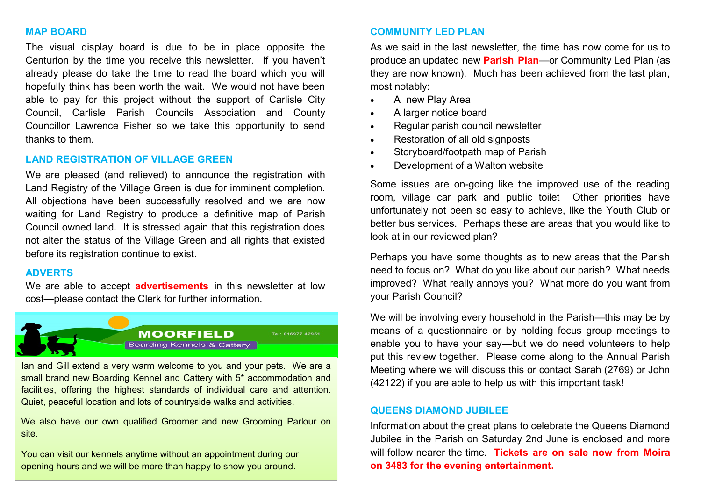#### **MAP BOARD**

The visual display board is due to be in place opposite the Centurion by the time you receive this newsletter. If you haven't already please do take the time to read the board which you will hopefully think has been worth the wait. We would not have been able to pay for this project without the support of Carlisle City Council, Carlisle Parish Councils Association and County Councillor Lawrence Fisher so we take this opportunity to send thanks to them.

#### **LAND REGISTRATION OF VILLAGE GREEN**

We are pleased (and relieved) to announce the registration with Land Registry of the Village Green is due for imminent completion. All objections have been successfully resolved and we are now waiting for Land Registry to produce a definitive map of Parish Council owned land. It is stressed again that this registration does not alter the status of the Village Green and all rights that existed before its registration continue to exist.

#### **ADVERTS**

We are able to accept **advertisements** in this newsletter at low cost—please contact the Clerk for further information.



Ian and Gill extend a very warm welcome to you and your pets. We are a small brand new Boarding Kennel and Cattery with 5\* accommodation and facilities, offering the highest standards of individual care and attention. Quiet, peaceful location and lots of countryside walks and activities.

We also have our own qualified Groomer and new Grooming Parlour on site.

You can visit our kennels anytime without an appointment during our opening hours and we will be more than happy to show you around.

#### **COMMUNITY LED PLAN**

As we said in the last newsletter, the time has now come for us to produce an updated new **Parish Plan**—or Community Led Plan (as they are now known). Much has been achieved from the last plan, most notably:

- A new Play Area
- A larger notice board
- Regular parish council newsletter
- Restoration of all old signposts
- Storyboard/footpath map of Parish
- Development of a Walton website

Some issues are on-going like the improved use of the reading room, village car park and public toilet Other priorities have unfortunately not been so easy to achieve, like the Youth Club or better bus services. Perhaps these are areas that you would like to look at in our reviewed plan?

Perhaps you have some thoughts as to new areas that the Parish need to focus on? What do you like about our parish? What needs improved? What really annoys you? What more do you want from your Parish Council?

We will be involving every household in the Parish—this may be by means of a questionnaire or by holding focus group meetings to enable you to have your say—but we do need volunteers to help put this review together. Please come along to the Annual Parish Meeting where we will discuss this or contact Sarah (2769) or John (42122) if you are able to help us with this important task!

#### **QUEENS DIAMOND JUBILEE**

Information about the great plans to celebrate the Queens Diamond Jubilee in the Parish on Saturday 2nd June is enclosed and more will follow nearer the time. **Tickets are on sale now from Moira on 3483 for the evening entertainment.**